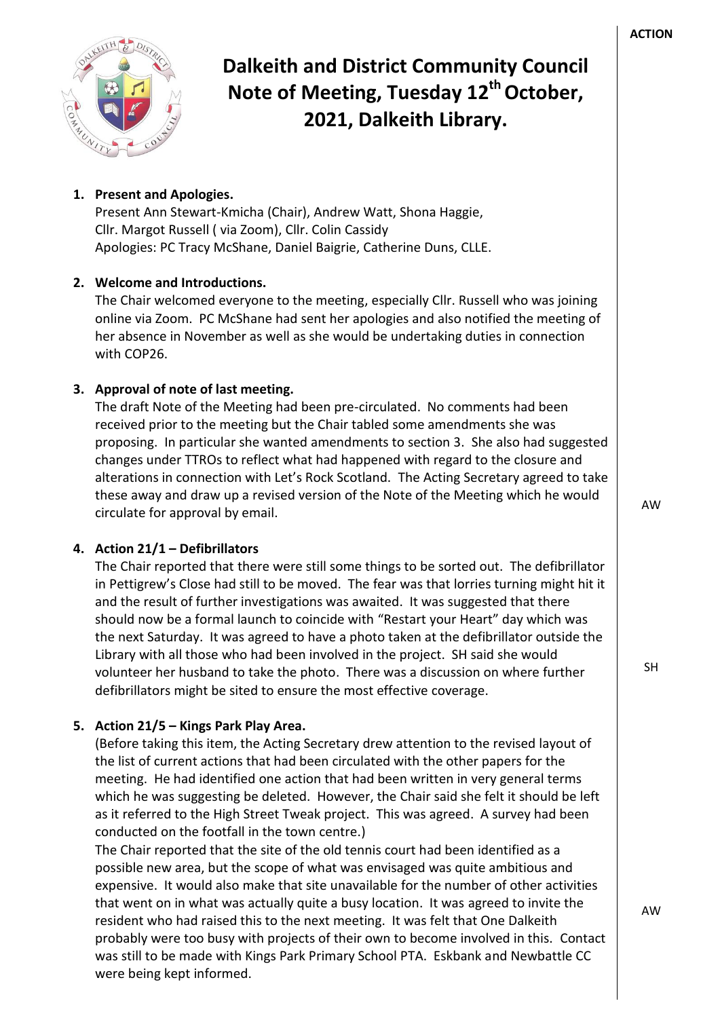

# **Dalkeith and District Community Council Note of Meeting, Tuesday 12 th October, 2021, Dalkeith Library.**

# **1. Present and Apologies.**

Present Ann Stewart-Kmicha (Chair), Andrew Watt, Shona Haggie, Cllr. Margot Russell ( via Zoom), Cllr. Colin Cassidy Apologies: PC Tracy McShane, Daniel Baigrie, Catherine Duns, CLLE.

## **2. Welcome and Introductions.**

The Chair welcomed everyone to the meeting, especially Cllr. Russell who was joining online via Zoom. PC McShane had sent her apologies and also notified the meeting of her absence in November as well as she would be undertaking duties in connection with COP26.

# **3. Approval of note of last meeting.**

The draft Note of the Meeting had been pre-circulated. No comments had been received prior to the meeting but the Chair tabled some amendments she was proposing. In particular she wanted amendments to section 3. She also had suggested changes under TTROs to reflect what had happened with regard to the closure and alterations in connection with Let's Rock Scotland. The Acting Secretary agreed to take these away and draw up a revised version of the Note of the Meeting which he would circulate for approval by email.

## **4. Action 21/1 – Defibrillators**

The Chair reported that there were still some things to be sorted out. The defibrillator in Pettigrew's Close had still to be moved. The fear was that lorries turning might hit it and the result of further investigations was awaited. It was suggested that there should now be a formal launch to coincide with "Restart your Heart" day which was the next Saturday. It was agreed to have a photo taken at the defibrillator outside the Library with all those who had been involved in the project. SH said she would volunteer her husband to take the photo. There was a discussion on where further defibrillators might be sited to ensure the most effective coverage.

## **5. Action 21/5 – Kings Park Play Area.**

(Before taking this item, the Acting Secretary drew attention to the revised layout of the list of current actions that had been circulated with the other papers for the meeting. He had identified one action that had been written in very general terms which he was suggesting be deleted. However, the Chair said she felt it should be left as it referred to the High Street Tweak project. This was agreed. A survey had been conducted on the footfall in the town centre.)

The Chair reported that the site of the old tennis court had been identified as a possible new area, but the scope of what was envisaged was quite ambitious and expensive. It would also make that site unavailable for the number of other activities that went on in what was actually quite a busy location. It was agreed to invite the resident who had raised this to the next meeting. It was felt that One Dalkeith probably were too busy with projects of their own to become involved in this. Contact was still to be made with Kings Park Primary School PTA. Eskbank and Newbattle CC were being kept informed.

AW

SH

AW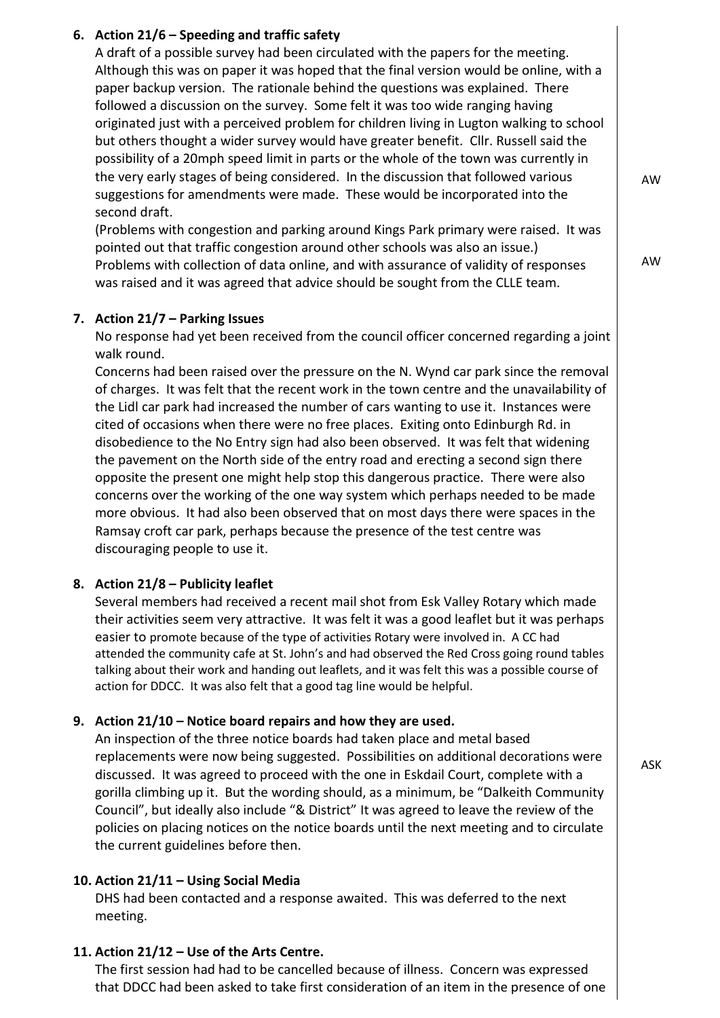# **6. Action 21/6 – Speeding and traffic safety**

A draft of a possible survey had been circulated with the papers for the meeting. Although this was on paper it was hoped that the final version would be online, with a paper backup version. The rationale behind the questions was explained. There followed a discussion on the survey. Some felt it was too wide ranging having originated just with a perceived problem for children living in Lugton walking to school but others thought a wider survey would have greater benefit. Cllr. Russell said the possibility of a 20mph speed limit in parts or the whole of the town was currently in the very early stages of being considered. In the discussion that followed various suggestions for amendments were made. These would be incorporated into the second draft.

(Problems with congestion and parking around Kings Park primary were raised. It was pointed out that traffic congestion around other schools was also an issue.) Problems with collection of data online, and with assurance of validity of responses was raised and it was agreed that advice should be sought from the CLLE team.

## **7. Action 21/7 – Parking Issues**

No response had yet been received from the council officer concerned regarding a joint walk round.

Concerns had been raised over the pressure on the N. Wynd car park since the removal of charges. It was felt that the recent work in the town centre and the unavailability of the Lidl car park had increased the number of cars wanting to use it. Instances were cited of occasions when there were no free places. Exiting onto Edinburgh Rd. in disobedience to the No Entry sign had also been observed. It was felt that widening the pavement on the North side of the entry road and erecting a second sign there opposite the present one might help stop this dangerous practice. There were also concerns over the working of the one way system which perhaps needed to be made more obvious. It had also been observed that on most days there were spaces in the Ramsay croft car park, perhaps because the presence of the test centre was discouraging people to use it.

## **8. Action 21/8 – Publicity leaflet**

Several members had received a recent mail shot from Esk Valley Rotary which made their activities seem very attractive. It was felt it was a good leaflet but it was perhaps easier to promote because of the type of activities Rotary were involved in. A CC had attended the community cafe at St. John's and had observed the Red Cross going round tables talking about their work and handing out leaflets, and it was felt this was a possible course of action for DDCC. It was also felt that a good tag line would be helpful.

## **9. Action 21/10 – Notice board repairs and how they are used.**

An inspection of the three notice boards had taken place and metal based replacements were now being suggested. Possibilities on additional decorations were discussed. It was agreed to proceed with the one in Eskdail Court, complete with a gorilla climbing up it. But the wording should, as a minimum, be "Dalkeith Community Council", but ideally also include "& District" It was agreed to leave the review of the policies on placing notices on the notice boards until the next meeting and to circulate the current guidelines before then.

#### **10. Action 21/11 – Using Social Media**

DHS had been contacted and a response awaited. This was deferred to the next meeting.

## **11. Action 21/12 – Use of the Arts Centre.**

The first session had had to be cancelled because of illness. Concern was expressed that DDCC had been asked to take first consideration of an item in the presence of one ASK

AW

AW